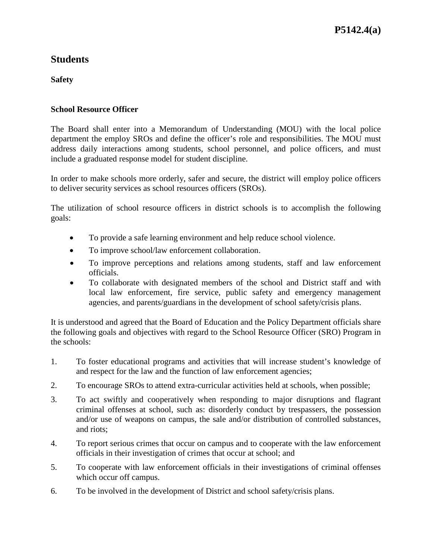## **Students**

**Safety**

#### **School Resource Officer**

The Board shall enter into a Memorandum of Understanding (MOU) with the local police department the employ SROs and define the officer's role and responsibilities. The MOU must address daily interactions among students, school personnel, and police officers, and must include a graduated response model for student discipline.

In order to make schools more orderly, safer and secure, the district will employ police officers to deliver security services as school resources officers (SROs).

The utilization of school resource officers in district schools is to accomplish the following goals:

- To provide a safe learning environment and help reduce school violence.
- To improve school/law enforcement collaboration.
- To improve perceptions and relations among students, staff and law enforcement officials.
- To collaborate with designated members of the school and District staff and with local law enforcement, fire service, public safety and emergency management agencies, and parents/guardians in the development of school safety/crisis plans.

It is understood and agreed that the Board of Education and the Policy Department officials share the following goals and objectives with regard to the School Resource Officer (SRO) Program in the schools:

- 1. To foster educational programs and activities that will increase student's knowledge of and respect for the law and the function of law enforcement agencies;
- 2. To encourage SROs to attend extra-curricular activities held at schools, when possible;
- 3. To act swiftly and cooperatively when responding to major disruptions and flagrant criminal offenses at school, such as: disorderly conduct by trespassers, the possession and/or use of weapons on campus, the sale and/or distribution of controlled substances, and riots;
- 4. To report serious crimes that occur on campus and to cooperate with the law enforcement officials in their investigation of crimes that occur at school; and
- 5. To cooperate with law enforcement officials in their investigations of criminal offenses which occur off campus.
- 6. To be involved in the development of District and school safety/crisis plans.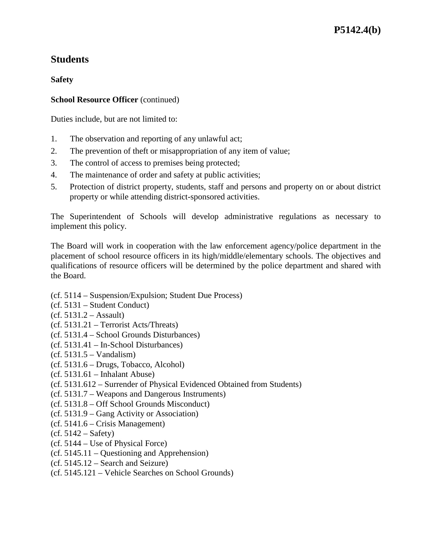# **Students**

**Safety**

#### **School Resource Officer** (continued)

Duties include, but are not limited to:

- 1. The observation and reporting of any unlawful act;
- 2. The prevention of theft or misappropriation of any item of value;
- 3. The control of access to premises being protected;
- 4. The maintenance of order and safety at public activities;
- 5. Protection of district property, students, staff and persons and property on or about district property or while attending district-sponsored activities.

The Superintendent of Schools will develop administrative regulations as necessary to implement this policy.

The Board will work in cooperation with the law enforcement agency/police department in the placement of school resource officers in its high/middle/elementary schools. The objectives and qualifications of resource officers will be determined by the police department and shared with the Board.

- (cf. 5114 Suspension/Expulsion; Student Due Process)
- (cf. 5131 Student Conduct)
- $(cf. 5131.2 Assault)$
- (cf. 5131.21 Terrorist Acts/Threats)
- (cf. 5131.4 School Grounds Disturbances)
- (cf. 5131.41 In-School Disturbances)
- $(cf. 5131.5 Vandalism)$
- (cf. 5131.6 Drugs, Tobacco, Alcohol)
- (cf. 5131.61 Inhalant Abuse)
- (cf. 5131.612 Surrender of Physical Evidenced Obtained from Students)
- (cf. 5131.7 Weapons and Dangerous Instruments)
- (cf. 5131.8 Off School Grounds Misconduct)
- (cf. 5131.9 Gang Activity or Association)
- (cf. 5141.6 Crisis Management)
- $(cf. 5142 Safety)$
- (cf. 5144 Use of Physical Force)
- (cf. 5145.11 Questioning and Apprehension)
- (cf. 5145.12 Search and Seizure)
- (cf. 5145.121 Vehicle Searches on School Grounds)